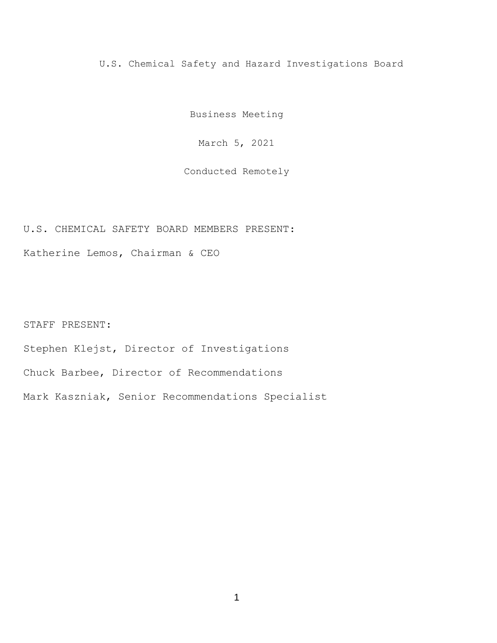U.S. Chemical Safety and Hazard Investigations Board

Business Meeting

March 5, 2021

Conducted Remotely

U.S. CHEMICAL SAFETY BOARD MEMBERS PRESENT:

Katherine Lemos, Chairman & CEO

STAFF PRESENT:

Stephen Klejst, Director of Investigations

Chuck Barbee, Director of Recommendations

Mark Kaszniak, Senior Recommendations Specialist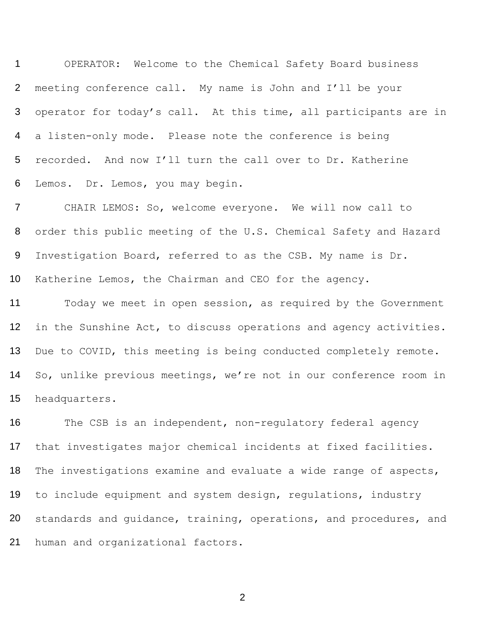OPERATOR: Welcome to the Chemical Safety Board business meeting conference call. My name is John and I'll be your operator for today's call. At this time, all participants are in a listen-only mode. Please note the conference is being recorded. And now I'll turn the call over to Dr. Katherine Lemos. Dr. Lemos, you may begin.

 CHAIR LEMOS: So, welcome everyone. We will now call to order this public meeting of the U.S. Chemical Safety and Hazard Investigation Board, referred to as the CSB. My name is Dr. Katherine Lemos, the Chairman and CEO for the agency.

 Today we meet in open session, as required by the Government in the Sunshine Act, to discuss operations and agency activities. Due to COVID, this meeting is being conducted completely remote. So, unlike previous meetings, we're not in our conference room in headquarters.

 The CSB is an independent, non-regulatory federal agency that investigates major chemical incidents at fixed facilities. The investigations examine and evaluate a wide range of aspects, to include equipment and system design, regulations, industry standards and guidance, training, operations, and procedures, and human and organizational factors.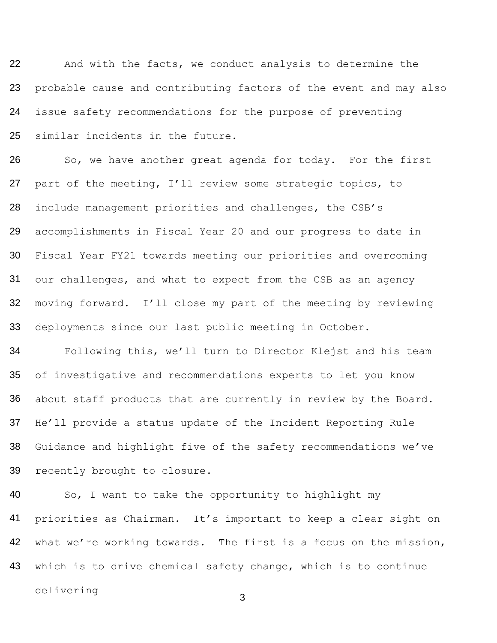22 23 24 25 And with the facts, we conduct analysis to determine the probable cause and contributing factors of the event and may also issue safety recommendations for the purpose of preventing similar incidents in the future.

26 27 28 29 30 31 32 33 So, we have another great agenda for today. For the first part of the meeting, I'll review some strategic topics, to include management priorities and challenges, the CSB's accomplishments in Fiscal Year 20 and our progress to date in Fiscal Year FY21 towards meeting our priorities and overcoming our challenges, and what to expect from the CSB as an agency moving forward. I'll close my part of the meeting by reviewing deployments since our last public meeting in October.

34 35 36 37 38 39 Following this, we'll turn to Director Klejst and his team of investigative and recommendations experts to let you know about staff products that are currently in review by the Board. He'll provide a status update of the Incident Reporting Rule Guidance and highlight five of the safety recommendations we've recently brought to closure.

40 41 42 So, I want to take the opportunity to highlight my priorities as Chairman. It's important to keep a clear sight on what we're working towards. The first is a focus on the mission, which is to drive chemical safety change, which is to continue delivering 43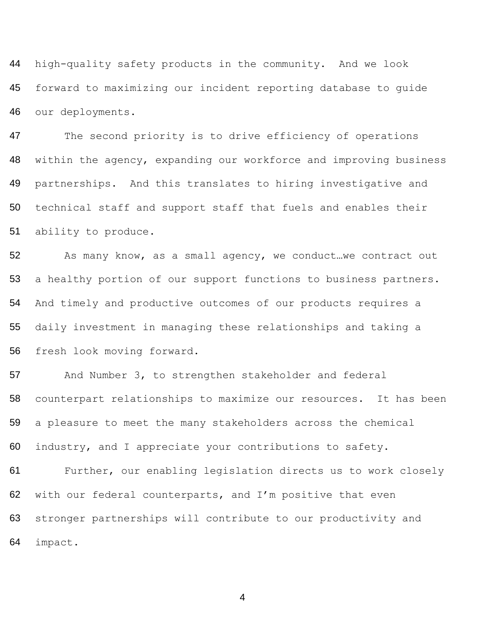high-quality safety products in the community. And we look forward to maximizing our incident reporting database to guide our deployments.

 The second priority is to drive efficiency of operations 48 within the agency, expanding our workforce and improving business partnerships. And this translates to hiring investigative and technical staff and support staff that fuels and enables their ability to produce.

52 As many know, as a small agency, we conduct...we contract out a healthy portion of our support functions to business partners. And timely and productive outcomes of our products requires a daily investment in managing these relationships and taking a fresh look moving forward.

57 And Number 3, to strengthen stakeholder and federal counterpart relationships to maximize our resources. It has been a pleasure to meet the many stakeholders across the chemical industry, and I appreciate your contributions to safety.

 Further, our enabling legislation directs us to work closely 62 with our federal counterparts, and I'm positive that even stronger partnerships will contribute to our productivity and impact.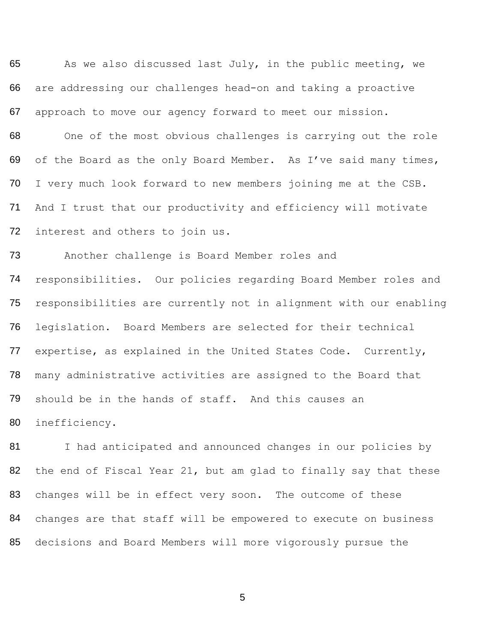65 66 67 As we also discussed last July, in the public meeting, we are addressing our challenges head-on and taking a proactive approach to move our agency forward to meet our mission.

68 69 70 71 72 One of the most obvious challenges is carrying out the role of the Board as the only Board Member. As I've said many times, I very much look forward to new members joining me at the CSB. And I trust that our productivity and efficiency will motivate interest and others to join us.

73 74 75 76 77 78 79 Another challenge is Board Member roles and responsibilities. Our policies regarding Board Member roles and responsibilities are currently not in alignment with our enabling legislation. Board Members are selected for their technical expertise, as explained in the United States Code. Currently, many administrative activities are assigned to the Board that should be in the hands of staff. And this causes an

80

inefficiency.

81 82 83 84 I had anticipated and announced changes in our policies by the end of Fiscal Year 21, but am glad to finally say that these changes will be in effect very soon. The outcome of these changes are that staff will be empowered to execute on business 85 decisions and Board Members will more vigorously pursue the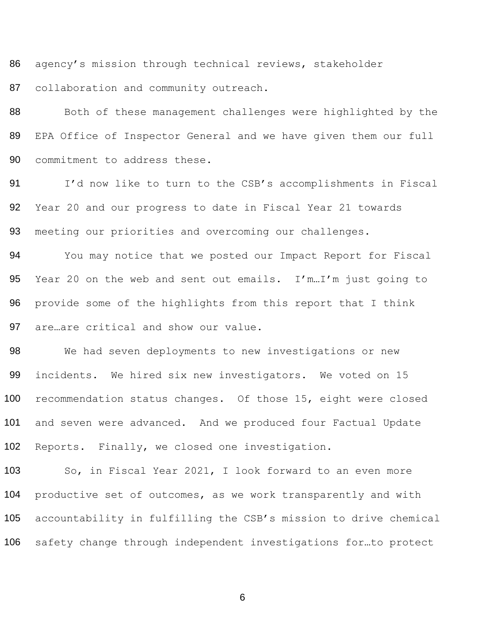agency's mission through technical reviews, stakeholder collaboration and community outreach.

88 Both of these management challenges were highlighted by the EPA Office of Inspector General and we have given them our full commitment to address these.

91 I'd now like to turn to the CSB's accomplishments in Fiscal Year 20 and our progress to date in Fiscal Year 21 towards 93 meeting our priorities and overcoming our challenges.

 You may notice that we posted our Impact Report for Fiscal Year 20 on the web and sent out emails. I'm…I'm just going to provide some of the highlights from this report that I think are…are critical and show our value.

 We had seven deployments to new investigations or new incidents. We hired six new investigators. We voted on 15 100 recommendation status changes. Of those 15, eight were closed and seven were advanced. And we produced four Factual Update Reports. Finally, we closed one investigation.

 So, in Fiscal Year 2021, I look forward to an even more productive set of outcomes, as we work transparently and with accountability in fulfilling the CSB's mission to drive chemical safety change through independent investigations for…to protect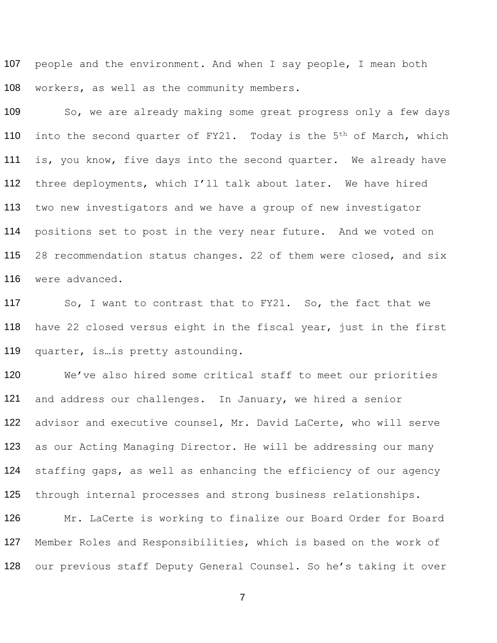107 people and the environment. And when I say people, I mean both 108 workers, as well as the community members.

109 So, we are already making some great progress only a few days 110 into the second quarter of  $FY21$ . Today is the  $5<sup>th</sup>$  of March, which 111 is, you know, five days into the second quarter. We already have 112 three deployments, which I'll talk about later. We have hired 113 114 115 116 two new investigators and we have a group of new investigator positions set to post in the very near future. And we voted on 28 recommendation status changes. 22 of them were closed, and six were advanced.

117 118 119 So, I want to contrast that to FY21. So, the fact that we have 22 closed versus eight in the fiscal year, just in the first quarter, is…is pretty astounding.

120 121 122 123 124 125 We've also hired some critical staff to meet our priorities and address our challenges. In January, we hired a senior advisor and executive counsel, Mr. David LaCerte, who will serve as our Acting Managing Director. He will be addressing our many staffing gaps, as well as enhancing the efficiency of our agency through internal processes and strong business relationships.

126 127 Mr. LaCerte is working to finalize our Board Order for Board Member Roles and Responsibilities, which is based on the work of 128 our previous staff Deputy General Counsel. So he's taking it over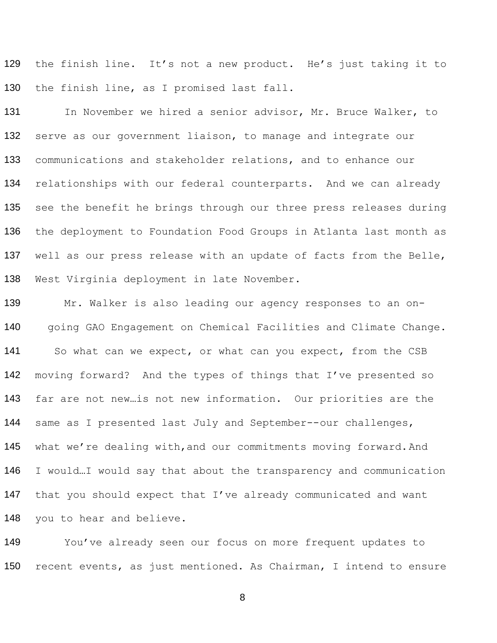129 130 the finish line. It's not a new product. He's just taking it to the finish line, as I promised last fall.

131 132 133 134 135 136 137 138 In November we hired a senior advisor, Mr. Bruce Walker, to serve as our government liaison, to manage and integrate our communications and stakeholder relations, and to enhance our relationships with our federal counterparts. And we can already see the benefit he brings through our three press releases during the deployment to Foundation Food Groups in Atlanta last month as well as our press release with an update of facts from the Belle, West Virginia deployment in late November.

139 140 Mr. Walker is also leading our agency responses to an ongoing GAO Engagement on Chemical Facilities and Climate Change. 141 So what can we expect, or what can you expect, from the CSB 142 moving forward? And the types of things that I've presented so 143 far are not new…is not new information. Our priorities are the 144 same as I presented last July and September--our challenges, 145 what we're dealing with, and our commitments moving forward. And 146 147 148 I would…I would say that about the transparency and communication that you should expect that I've already communicated and want you to hear and believe.

149 You've already seen our focus on more frequent updates to 150 recent events, as just mentioned. As Chairman, I intend to ensure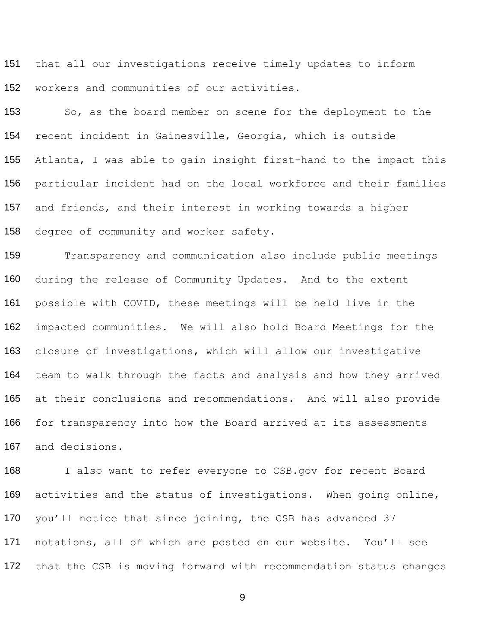151 152 that all our investigations receive timely updates to inform workers and communities of our activities.

153 154 155 156 157 158 So, as the board member on scene for the deployment to the recent incident in Gainesville, Georgia, which is outside Atlanta, I was able to gain insight first-hand to the impact this particular incident had on the local workforce and their families and friends, and their interest in working towards a higher degree of community and worker safety.

159 160 161 162 163 164 165 166 167 Transparency and communication also include public meetings during the release of Community Updates. And to the extent possible with COVID, these meetings will be held live in the impacted communities. We will also hold Board Meetings for the closure of investigations, which will allow our investigative team to walk through the facts and analysis and how they arrived at their conclusions and recommendations. And will also provide for transparency into how the Board arrived at its assessments and decisions.

168 169 170 171 I also want to refer everyone to CSB.gov for recent Board activities and the status of investigations. When going online, you'll notice that since joining, the CSB has advanced 37 notations, all of which are posted on our website. You'll see 172 that the CSB is moving forward with recommendation status changes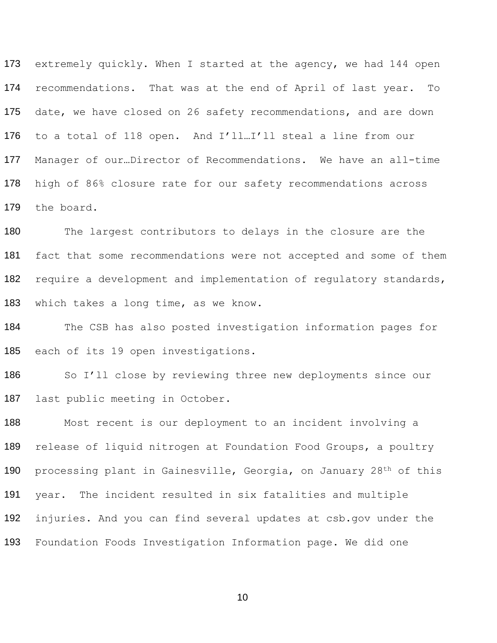173 extremely quickly. When I started at the agency, we had 144 open recommendations. That was at the end of April of last year. To 175 date, we have closed on 26 safety recommendations, and are down to a total of 118 open. And I'll…I'll steal a line from our Manager of our…Director of Recommendations. We have an all-time high of 86% closure rate for our safety recommendations across the board.

180 The largest contributors to delays in the closure are the fact that some recommendations were not accepted and some of them 182 require a development and implementation of regulatory standards, which takes a long time, as we know.

 The CSB has also posted investigation information pages for each of its 19 open investigations.

186 So I'll close by reviewing three new deployments since our last public meeting in October.

 Most recent is our deployment to an incident involving a 189 release of liquid nitrogen at Foundation Food Groups, a poultry 190 processing plant in Gainesville, Georgia, on January 28<sup>th</sup> of this year. The incident resulted in six fatalities and multiple injuries. And you can find several updates at csb.gov under the Foundation Foods Investigation Information page. We did one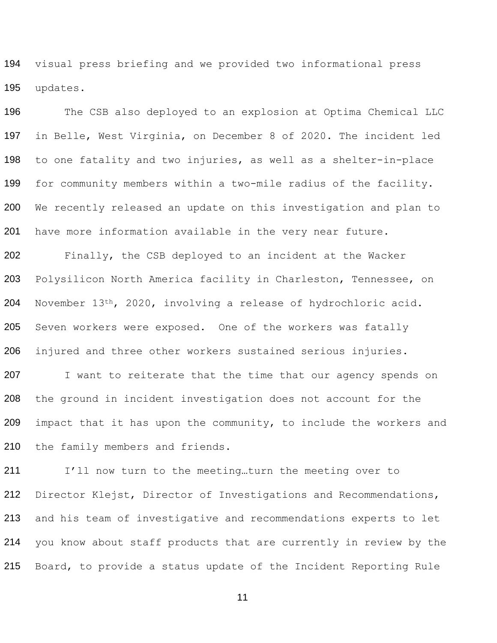visual press briefing and we provided two informational press updates.

196 The CSB also deployed to an explosion at Optima Chemical LLC in Belle, West Virginia, on December 8 of 2020. The incident led to one fatality and two injuries, as well as a shelter-in-place for community members within a two-mile radius of the facility. We recently released an update on this investigation and plan to have more information available in the very near future.

 Finally, the CSB deployed to an incident at the Wacker Polysilicon North America facility in Charleston, Tennessee, on November 13th, 2020, involving a release of hydrochloric acid. Seven workers were exposed. One of the workers was fatally injured and three other workers sustained serious injuries.

207 I want to reiterate that the time that our agency spends on the ground in incident investigation does not account for the 209 impact that it has upon the community, to include the workers and the family members and friends.

211 I'll now turn to the meeting...turn the meeting over to Director Klejst, Director of Investigations and Recommendations, and his team of investigative and recommendations experts to let you know about staff products that are currently in review by the Board, to provide a status update of the Incident Reporting Rule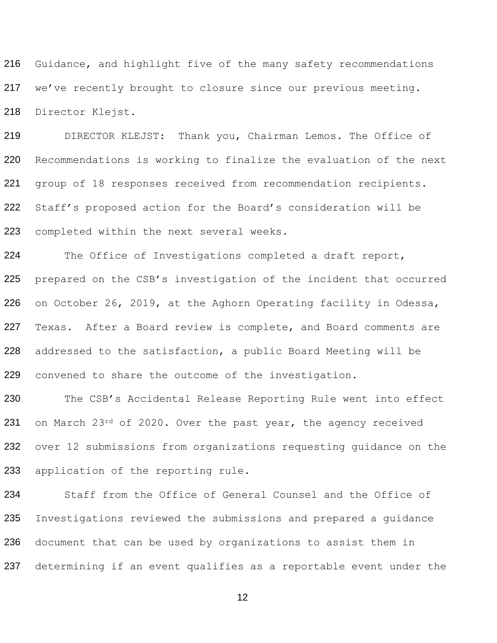Guidance, and highlight five of the many safety recommendations we've recently brought to closure since our previous meeting. Director Klejst.

 DIRECTOR KLEJST: Thank you, Chairman Lemos. The Office of Recommendations is working to finalize the evaluation of the next group of 18 responses received from recommendation recipients. Staff's proposed action for the Board's consideration will be completed within the next several weeks.

 The Office of Investigations completed a draft report, prepared on the CSB's investigation of the incident that occurred on October 26, 2019, at the Aghorn Operating facility in Odessa, Texas. After a Board review is complete, and Board comments are addressed to the satisfaction, a public Board Meeting will be convened to share the outcome of the investigation.

230 The CSB's Accidental Release Reporting Rule went into effect 231 on March 23<sup>rd</sup> of 2020. Over the past year, the agency received 232 over 12 submissions from organizations requesting quidance on the application of the reporting rule.

 Staff from the Office of General Counsel and the Office of Investigations reviewed the submissions and prepared a guidance document that can be used by organizations to assist them in 237 determining if an event qualifies as a reportable event under the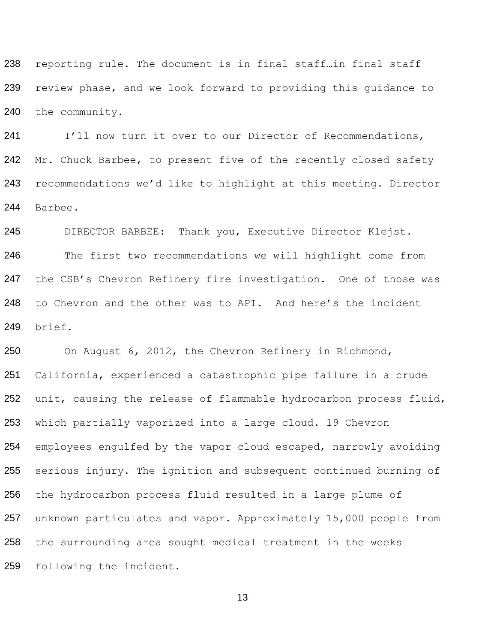reporting rule. The document is in final staff…in final staff review phase, and we look forward to providing this guidance to the community.

241 I'll now turn it over to our Director of Recommendations, 242 Mr. Chuck Barbee, to present five of the recently closed safety recommendations we'd like to highlight at this meeting. Director Barbee.

 DIRECTOR BARBEE: Thank you, Executive Director Klejst. The first two recommendations we will highlight come from 247 the CSB's Chevron Refinery fire investigation. One of those was to Chevron and the other was to API. And here's the incident brief.

 On August 6, 2012, the Chevron Refinery in Richmond, California, experienced a catastrophic pipe failure in a crude 252 unit, causing the release of flammable hydrocarbon process fluid, which partially vaporized into a large cloud. 19 Chevron employees engulfed by the vapor cloud escaped, narrowly avoiding serious injury. The ignition and subsequent continued burning of the hydrocarbon process fluid resulted in a large plume of unknown particulates and vapor. Approximately 15,000 people from the surrounding area sought medical treatment in the weeks following the incident.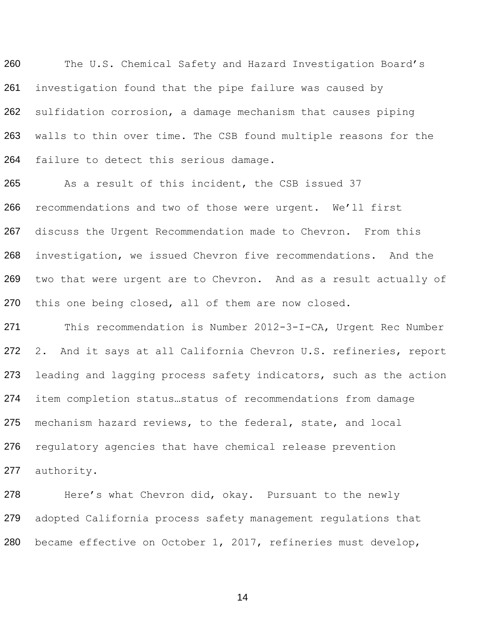The U.S. Chemical Safety and Hazard Investigation Board's investigation found that the pipe failure was caused by sulfidation corrosion, a damage mechanism that causes piping walls to thin over time. The CSB found multiple reasons for the failure to detect this serious damage.

265 As a result of this incident, the CSB issued 37 recommendations and two of those were urgent. We'll first discuss the Urgent Recommendation made to Chevron. From this investigation, we issued Chevron five recommendations. And the two that were urgent are to Chevron. And as a result actually of this one being closed, all of them are now closed.

 This recommendation is Number 2012-3-I-CA, Urgent Rec Number 2. And it says at all California Chevron U.S. refineries, report 273 leading and lagging process safety indicators, such as the action item completion status…status of recommendations from damage mechanism hazard reviews, to the federal, state, and local 276 regulatory agencies that have chemical release prevention authority.

278 Here's what Chevron did, okay. Pursuant to the newly adopted California process safety management regulations that became effective on October 1, 2017, refineries must develop,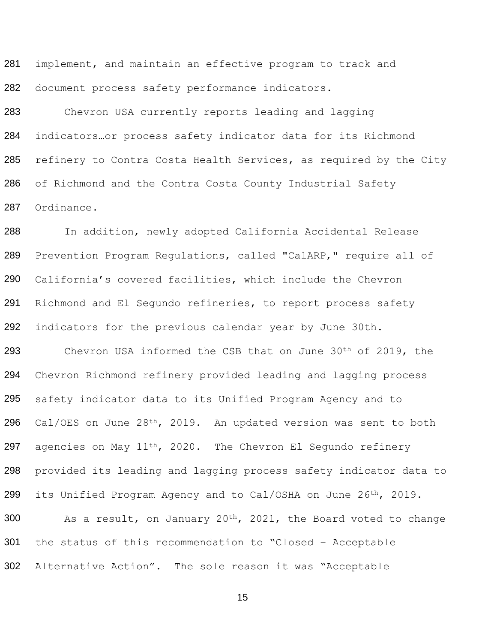281 282 implement, and maintain an effective program to track and document process safety performance indicators.

283 284 285 286 287 Chevron USA currently reports leading and lagging indicators…or process safety indicator data for its Richmond refinery to Contra Costa Health Services, as required by the City of Richmond and the Contra Costa County Industrial Safety Ordinance.

288 289 290 291 292 In addition, newly adopted California Accidental Release Prevention Program Regulations, called "CalARP," require all of California's covered facilities, which include the Chevron Richmond and El Segundo refineries, to report process safety indicators for the previous calendar year by June 30th.

293 294 295 296 297 298 299 300 301 Chevron USA informed the CSB that on June 30th of 2019, the Chevron Richmond refinery provided leading and lagging process safety indicator data to its Unified Program Agency and to Cal/OES on June 28th, 2019. An updated version was sent to both agencies on May 11th, 2020. The Chevron El Segundo refinery provided its leading and lagging process safety indicator data to its Unified Program Agency and to Cal/OSHA on June 26th, 2019. As a result, on January  $20^{th}$ ,  $2021$ , the Board voted to change the status of this recommendation to "Closed – Acceptable

302 Alternative Action". The sole reason it was "Acceptable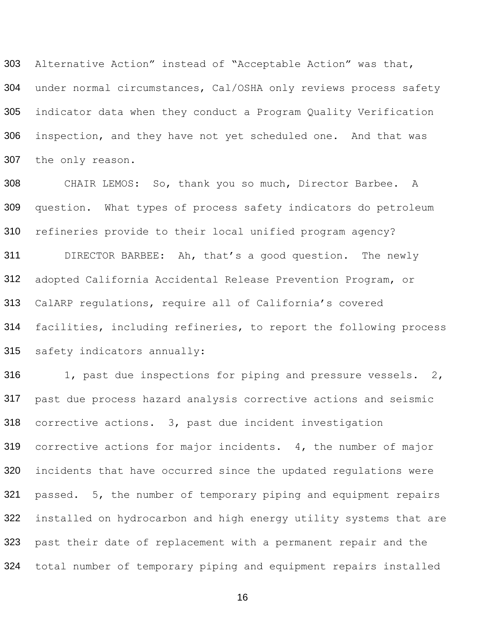303 304 305 306 307 Alternative Action" instead of "Acceptable Action" was that, under normal circumstances, Cal/OSHA only reviews process safety indicator data when they conduct a Program Quality Verification inspection, and they have not yet scheduled one. And that was the only reason.

308 309 310 CHAIR LEMOS: So, thank you so much, Director Barbee. A question. What types of process safety indicators do petroleum refineries provide to their local unified program agency?

311 312 313 314 315 DIRECTOR BARBEE: Ah, that's a good question. The newly adopted California Accidental Release Prevention Program, or CalARP regulations, require all of California's covered facilities, including refineries, to report the following process safety indicators annually:

316 317 318 319 320 321 322 323 1, past due inspections for piping and pressure vessels. 2, past due process hazard analysis corrective actions and seismic corrective actions. 3, past due incident investigation corrective actions for major incidents. 4, the number of major incidents that have occurred since the updated regulations were passed. 5, the number of temporary piping and equipment repairs installed on hydrocarbon and high energy utility systems that are past their date of replacement with a permanent repair and the 324 total number of temporary piping and equipment repairs installed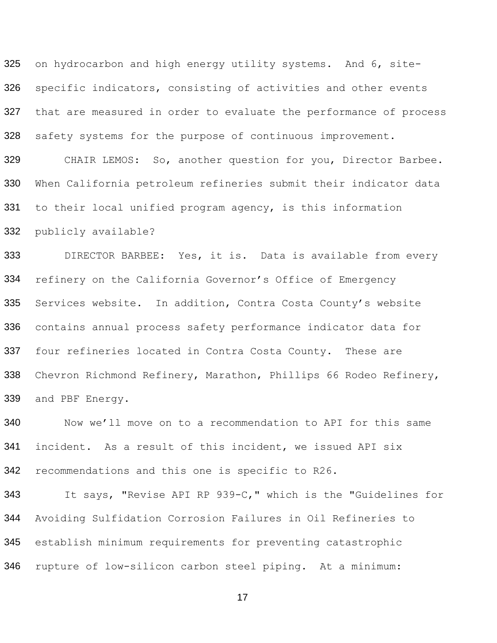325 326 327 328 on hydrocarbon and high energy utility systems. And 6, sitespecific indicators, consisting of activities and other events that are measured in order to evaluate the performance of process safety systems for the purpose of continuous improvement.

329 330 331 CHAIR LEMOS: So, another question for you, Director Barbee. When California petroleum refineries submit their indicator data to their local unified program agency, is this information

332 publicly available?

333 334 335 336 337 338 339 DIRECTOR BARBEE: Yes, it is. Data is available from every refinery on the California Governor's Office of Emergency Services website. In addition, Contra Costa County's website contains annual process safety performance indicator data for four refineries located in Contra Costa County. These are Chevron Richmond Refinery, Marathon, Phillips 66 Rodeo Refinery, and PBF Energy.

340 341 342 Now we'll move on to a recommendation to API for this same incident. As a result of this incident, we issued API six recommendations and this one is specific to R26.

343 344 345 It says, "Revise API RP 939-C," which is the "Guidelines for Avoiding Sulfidation Corrosion Failures in Oil Refineries to establish minimum requirements for preventing catastrophic 346 rupture of low-silicon carbon steel piping. At a minimum: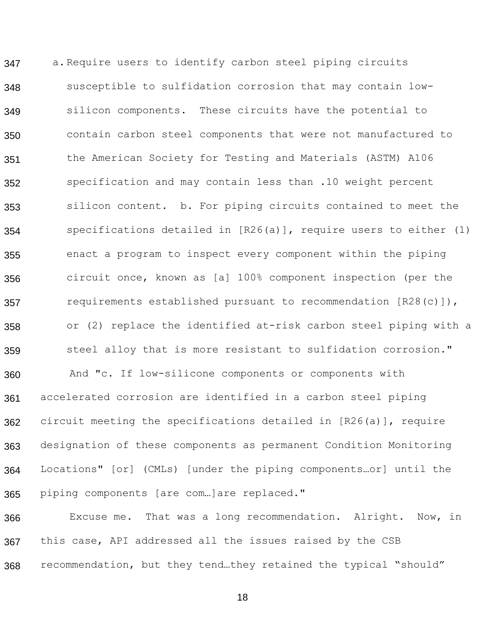347 348 349 350 351 352 353 354 355 356 357 358 359 360 361 362 363 364 365 a.Require users to identify carbon steel piping circuits susceptible to sulfidation corrosion that may contain lowsilicon components. These circuits have the potential to contain carbon steel components that were not manufactured to the American Society for Testing and Materials (ASTM) A106 specification and may contain less than .10 weight percent silicon content. b. For piping circuits contained to meet the specifications detailed in [R26(a)], require users to either (1) enact a program to inspect every component within the piping circuit once, known as [a] 100% component inspection (per the requirements established pursuant to recommendation [R28(c)]), or (2) replace the identified at-risk carbon steel piping with a steel alloy that is more resistant to sulfidation corrosion." And "c. If low-silicone components or components with accelerated corrosion are identified in a carbon steel piping circuit meeting the specifications detailed in [R26(a)], require designation of these components as permanent Condition Monitoring Locations" [or] (CMLs) [under the piping components…or] until the piping components [are com…]are replaced."

366 367 Excuse me. That was a long recommendation. Alright. Now, in this case, API addressed all the issues raised by the CSB 368 recommendation, but they tend…they retained the typical "should"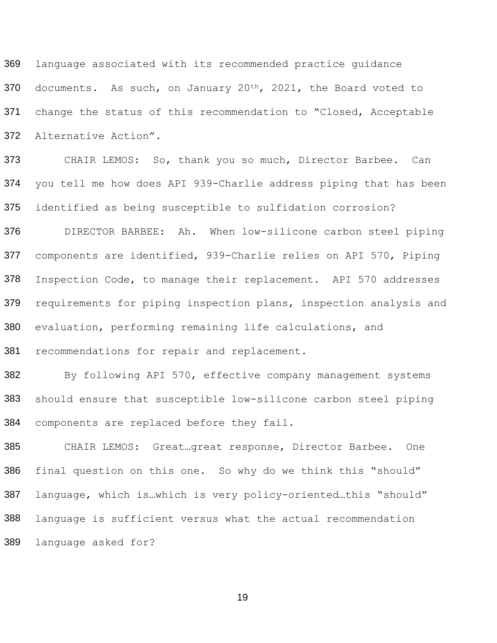369 370 371 372 language associated with its recommended practice guidance documents. As such, on January 20<sup>th</sup>, 2021, the Board voted to change the status of this recommendation to "Closed, Acceptable Alternative Action".

373 374 375 CHAIR LEMOS: So, thank you so much, Director Barbee. Can you tell me how does API 939-Charlie address piping that has been identified as being susceptible to sulfidation corrosion?

376 377 378 379 380 381 DIRECTOR BARBEE: Ah. When low-silicone carbon steel piping components are identified, 939-Charlie relies on API 570, Piping Inspection Code, to manage their replacement. API 570 addresses requirements for piping inspection plans, inspection analysis and evaluation, performing remaining life calculations, and recommendations for repair and replacement.

382 383 384 By following API 570, effective company management systems should ensure that susceptible low-silicone carbon steel piping components are replaced before they fail.

385 386 387 388 CHAIR LEMOS: Great…great response, Director Barbee. One final question on this one. So why do we think this "should" language, which is…which is very policy-oriented…this "should" language is sufficient versus what the actual recommendation 389 language asked for?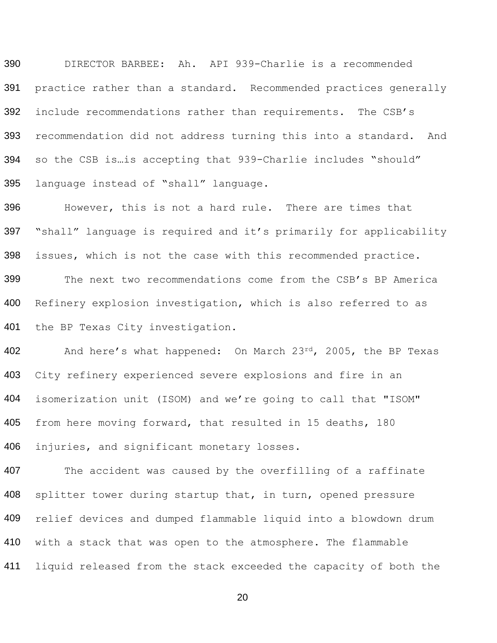390 DIRECTOR BARBEE: Ah. API 939-Charlie is a recommended 391 practice rather than a standard. Recommended practices generally 392 include recommendations rather than requirements. The CSB's 393 394 395 recommendation did not address turning this into a standard. And so the CSB is…is accepting that 939-Charlie includes "should" language instead of "shall" language.

396 397 398 399 400 401 However, this is not a hard rule. There are times that "shall" language is required and it's primarily for applicability issues, which is not the case with this recommended practice. The next two recommendations come from the CSB's BP America Refinery explosion investigation, which is also referred to as the BP Texas City investigation.

402 403 404 405 406 And here's what happened: On March 23rd, 2005, the BP Texas City refinery experienced severe explosions and fire in an isomerization unit (ISOM) and we're going to call that "ISOM" from here moving forward, that resulted in 15 deaths, 180 injuries, and significant monetary losses.

407 408 409 410 The accident was caused by the overfilling of a raffinate splitter tower during startup that, in turn, opened pressure relief devices and dumped flammable liquid into a blowdown drum with a stack that was open to the atmosphere. The flammable 411 liquid released from the stack exceeded the capacity of both the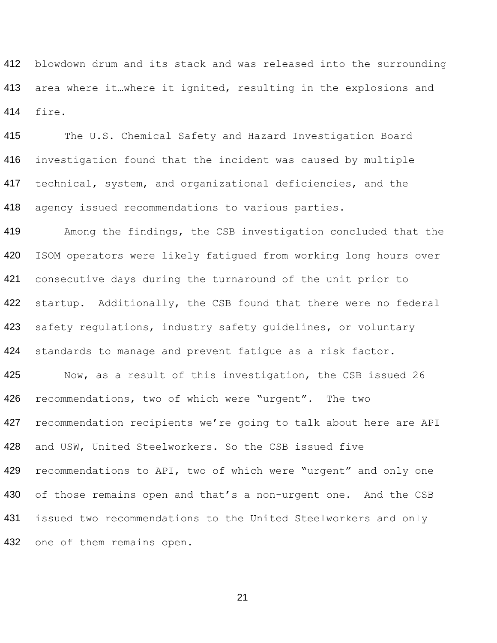blowdown drum and its stack and was released into the surrounding 413 area where it...where it ignited, resulting in the explosions and fire.

 The U.S. Chemical Safety and Hazard Investigation Board investigation found that the incident was caused by multiple technical, system, and organizational deficiencies, and the agency issued recommendations to various parties.

 Among the findings, the CSB investigation concluded that the ISOM operators were likely fatigued from working long hours over consecutive days during the turnaround of the unit prior to 422 startup. Additionally, the CSB found that there were no federal safety regulations, industry safety guidelines, or voluntary standards to manage and prevent fatigue as a risk factor.

 Now, as a result of this investigation, the CSB issued 26 recommendations, two of which were "urgent". The two 427 recommendation recipients we're going to talk about here are API and USW, United Steelworkers. So the CSB issued five recommendations to API, two of which were "urgent" and only one 430 of those remains open and that's a non-urgent one. And the CSB issued two recommendations to the United Steelworkers and only 432 one of them remains open.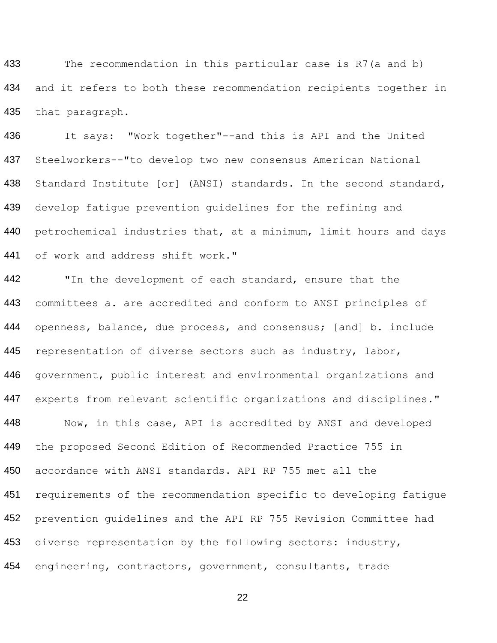433 434 435 The recommendation in this particular case is R7(a and b) and it refers to both these recommendation recipients together in that paragraph.

436 437 438 439 440 441 It says: "Work together"--and this is API and the United Steelworkers--"to develop two new consensus American National Standard Institute [or] (ANSI) standards. In the second standard, develop fatigue prevention guidelines for the refining and petrochemical industries that, at a minimum, limit hours and days of work and address shift work."

442 443 444 445 446 447 448 449 450 451 452 453 "In the development of each standard, ensure that the committees a. are accredited and conform to ANSI principles of openness, balance, due process, and consensus; [and] b. include representation of diverse sectors such as industry, labor, government, public interest and environmental organizations and experts from relevant scientific organizations and disciplines." Now, in this case, API is accredited by ANSI and developed the proposed Second Edition of Recommended Practice 755 in accordance with ANSI standards. API RP 755 met all the requirements of the recommendation specific to developing fatigue prevention guidelines and the API RP 755 Revision Committee had diverse representation by the following sectors: industry, 454 engineering, contractors, government, consultants, trade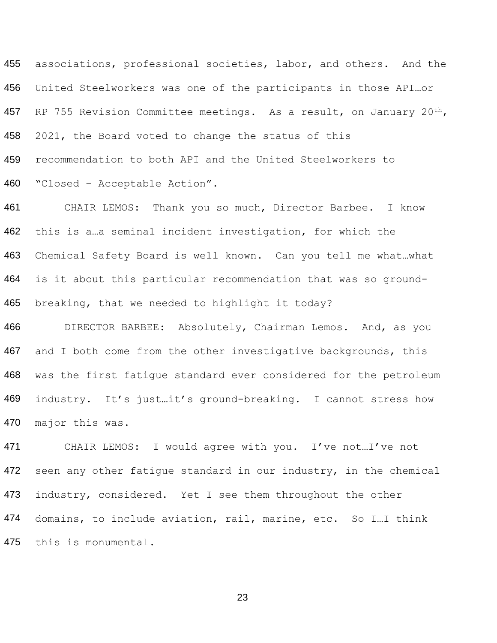455 associations, professional societies, labor, and others. And the 456 United Steelworkers was one of the participants in those API…or 457 RP 755 Revision Committee meetings. As a result, on January 20th, 458 459 460 2021, the Board voted to change the status of this recommendation to both API and the United Steelworkers to "Closed – Acceptable Action".

461 462 463 464 465 CHAIR LEMOS: Thank you so much, Director Barbee. I know this is a…a seminal incident investigation, for which the Chemical Safety Board is well known. Can you tell me what…what is it about this particular recommendation that was so groundbreaking, that we needed to highlight it today?

466 467 468 469 470 DIRECTOR BARBEE: Absolutely, Chairman Lemos. And, as you and I both come from the other investigative backgrounds, this was the first fatigue standard ever considered for the petroleum industry. It's just…it's ground-breaking. I cannot stress how major this was.

471 472 473 474 CHAIR LEMOS: I would agree with you. I've not…I've not seen any other fatigue standard in our industry, in the chemical industry, considered. Yet I see them throughout the other domains, to include aviation, rail, marine, etc. So I…I think 475 this is monumental.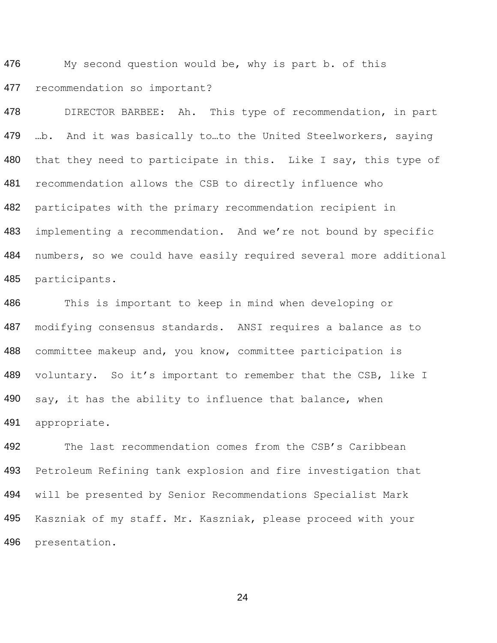476 477 My second question would be, why is part b. of this recommendation so important?

478 479 480 481 482 483 484 485 DIRECTOR BARBEE: Ah. This type of recommendation, in part …b. And it was basically to…to the United Steelworkers, saying that they need to participate in this. Like I say, this type of recommendation allows the CSB to directly influence who participates with the primary recommendation recipient in implementing a recommendation. And we're not bound by specific numbers, so we could have easily required several more additional participants.

486 487 488 489 490 491 This is important to keep in mind when developing or modifying consensus standards. ANSI requires a balance as to committee makeup and, you know, committee participation is voluntary. So it's important to remember that the CSB, like I say, it has the ability to influence that balance, when appropriate.

492 493 494 495 The last recommendation comes from the CSB's Caribbean Petroleum Refining tank explosion and fire investigation that will be presented by Senior Recommendations Specialist Mark Kaszniak of my staff. Mr. Kaszniak, please proceed with your 496 presentation.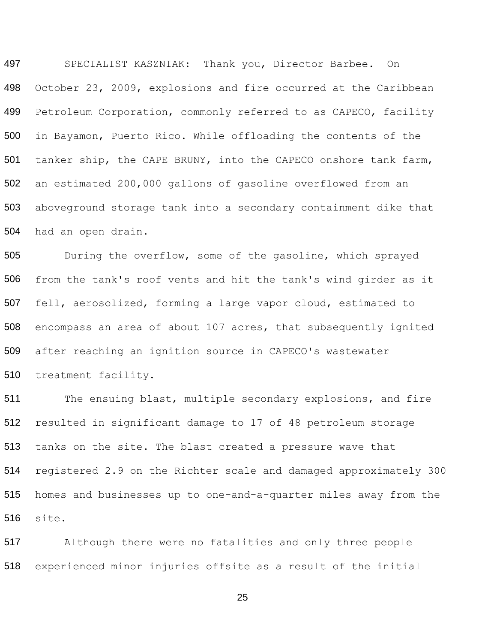497 498 499 500 501 502 503 504 SPECIALIST KASZNIAK: Thank you, Director Barbee. On October 23, 2009, explosions and fire occurred at the Caribbean Petroleum Corporation, commonly referred to as CAPECO, facility in Bayamon, Puerto Rico. While offloading the contents of the tanker ship, the CAPE BRUNY, into the CAPECO onshore tank farm, an estimated 200,000 gallons of gasoline overflowed from an aboveground storage tank into a secondary containment dike that had an open drain.

505 506 507 508 509 510 During the overflow, some of the gasoline, which sprayed from the tank's roof vents and hit the tank's wind girder as it fell, aerosolized, forming a large vapor cloud, estimated to encompass an area of about 107 acres, that subsequently ignited after reaching an ignition source in CAPECO's wastewater treatment facility.

511 512 513 514 515 516 The ensuing blast, multiple secondary explosions, and fire resulted in significant damage to 17 of 48 petroleum storage tanks on the site. The blast created a pressure wave that registered 2.9 on the Richter scale and damaged approximately 300 homes and businesses up to one-and-a-quarter miles away from the site.

517 Although there were no fatalities and only three people 518 experienced minor injuries offsite as a result of the initial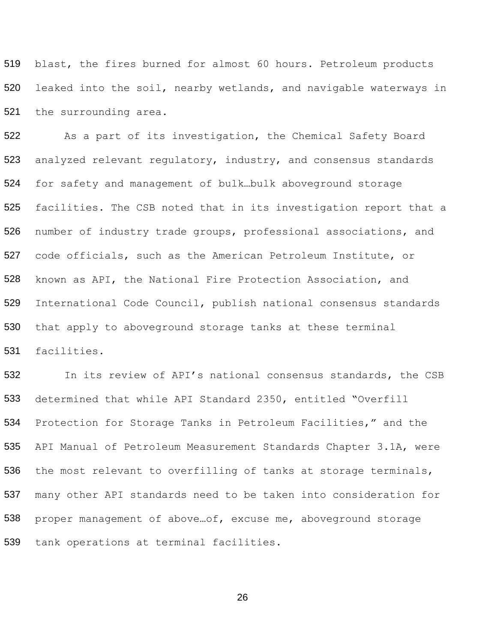519 520 521 blast, the fires burned for almost 60 hours. Petroleum products leaked into the soil, nearby wetlands, and navigable waterways in the surrounding area.

522 523 524 525 526 527 528 529 530 531 As a part of its investigation, the Chemical Safety Board analyzed relevant regulatory, industry, and consensus standards for safety and management of bulk…bulk aboveground storage facilities. The CSB noted that in its investigation report that a number of industry trade groups, professional associations, and code officials, such as the American Petroleum Institute, or known as API, the National Fire Protection Association, and International Code Council, publish national consensus standards that apply to aboveground storage tanks at these terminal facilities.

532 533 534 535 536 537 538 In its review of API's national consensus standards, the CSB determined that while API Standard 2350, entitled "Overfill Protection for Storage Tanks in Petroleum Facilities," and the API Manual of Petroleum Measurement Standards Chapter 3.1A, were the most relevant to overfilling of tanks at storage terminals, many other API standards need to be taken into consideration for proper management of above…of, excuse me, aboveground storage 539 tank operations at terminal facilities.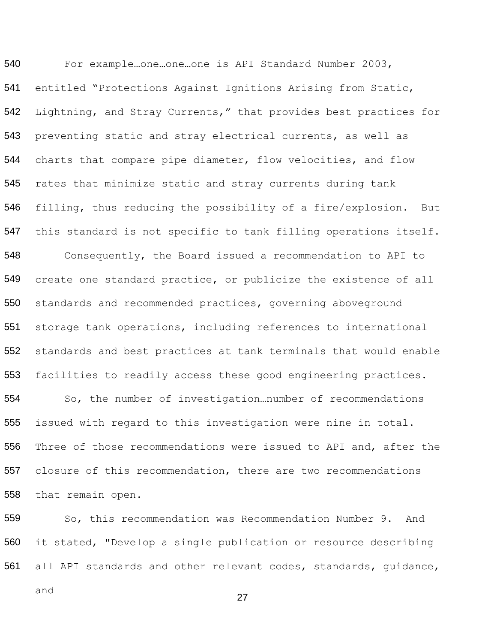540 541 542 543 544 545 546 547 548 549 550 551 552 553 554 555 556 557 558 For example…one…one…one is API Standard Number 2003, entitled "Protections Against Ignitions Arising from Static, Lightning, and Stray Currents," that provides best practices for preventing static and stray electrical currents, as well as charts that compare pipe diameter, flow velocities, and flow rates that minimize static and stray currents during tank filling, thus reducing the possibility of a fire/explosion. But this standard is not specific to tank filling operations itself. Consequently, the Board issued a recommendation to API to create one standard practice, or publicize the existence of all standards and recommended practices, governing aboveground storage tank operations, including references to international standards and best practices at tank terminals that would enable facilities to readily access these good engineering practices. So, the number of investigation…number of recommendations issued with regard to this investigation were nine in total. Three of those recommendations were issued to API and, after the closure of this recommendation, there are two recommendations that remain open.

559 560 So, this recommendation was Recommendation Number 9. And it stated, "Develop a single publication or resource describing all API standards and other relevant codes, standards, guidance, 561

and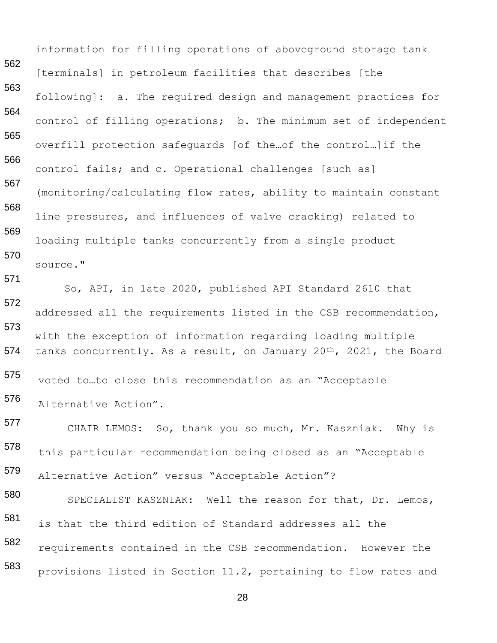562 563 564 565 566 567 568 569 570 571 572 information for filling operations of aboveground storage tank [terminals] in petroleum facilities that describes [the following]: a. The required design and management practices for control of filling operations; b. The minimum set of independent overfill protection safeguards [of the…of the control…]if the control fails; and c. Operational challenges [such as] (monitoring/calculating flow rates, ability to maintain constant line pressures, and influences of valve cracking) related to loading multiple tanks concurrently from a single product source." So, API, in late 2020, published API Standard 2610 that addressed all the requirements listed in the CSB recommendation, with the exception of information regarding loading multiple 573 574 tanks concurrently. As a result, on January 20<sup>th</sup>, 2021, the Board 575 576 577 578 579 580 581 582 voted to…to close this recommendation as an "Acceptable Alternative Action". CHAIR LEMOS: So, thank you so much, Mr. Kaszniak. Why is this particular recommendation being closed as an "Acceptable Alternative Action" versus "Acceptable Action"? SPECIALIST KASZNIAK: Well the reason for that, Dr. Lemos, is that the third edition of Standard addresses all the requirements contained in the CSB recommendation. However the 583 provisions listed in Section 11.2, pertaining to flow rates and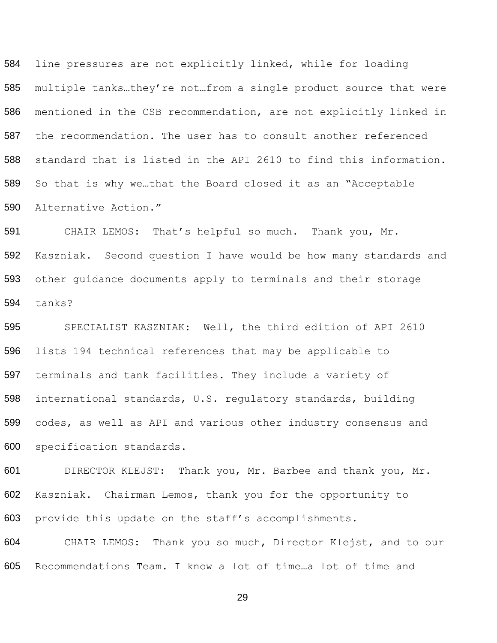line pressures are not explicitly linked, while for loading multiple tanks…they're not…from a single product source that were mentioned in the CSB recommendation, are not explicitly linked in the recommendation. The user has to consult another referenced standard that is listed in the API 2610 to find this information. So that is why we…that the Board closed it as an "Acceptable Alternative Action."

 CHAIR LEMOS: That's helpful so much. Thank you, Mr. Kaszniak. Second question I have would be how many standards and other guidance documents apply to terminals and their storage tanks?

 SPECIALIST KASZNIAK: Well, the third edition of API 2610 lists 194 technical references that may be applicable to terminals and tank facilities. They include a variety of international standards, U.S. regulatory standards, building codes, as well as API and various other industry consensus and specification standards.

 DIRECTOR KLEJST: Thank you, Mr. Barbee and thank you, Mr. Kaszniak. Chairman Lemos, thank you for the opportunity to provide this update on the staff's accomplishments.

 CHAIR LEMOS: Thank you so much, Director Klejst, and to our Recommendations Team. I know a lot of time…a lot of time and